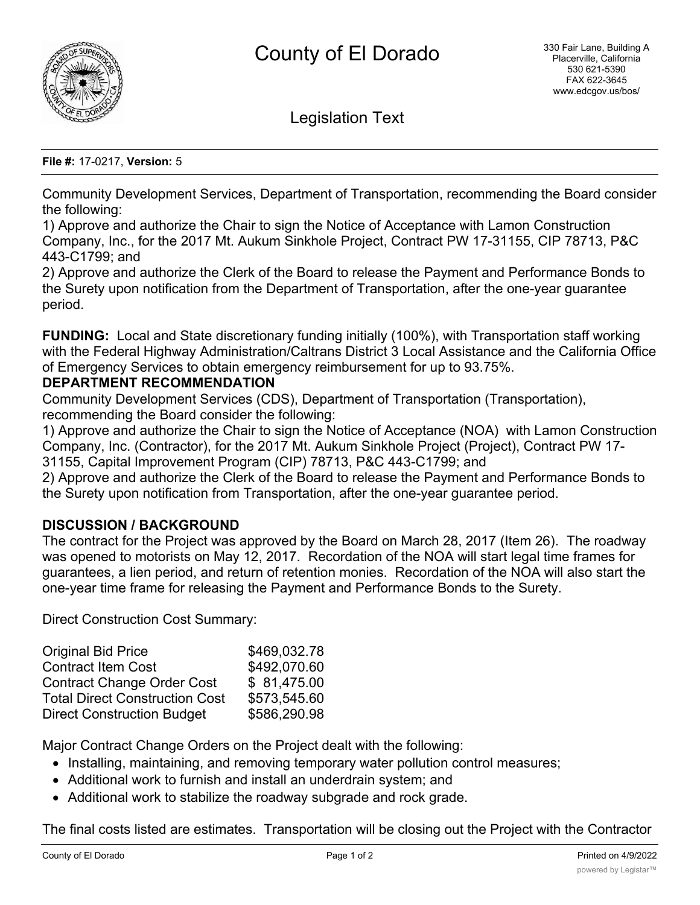

Legislation Text

#### **File #:** 17-0217, **Version:** 5

Community Development Services, Department of Transportation, recommending the Board consider the following:

1) Approve and authorize the Chair to sign the Notice of Acceptance with Lamon Construction Company, Inc., for the 2017 Mt. Aukum Sinkhole Project, Contract PW 17-31155, CIP 78713, P&C 443-C1799; and

2) Approve and authorize the Clerk of the Board to release the Payment and Performance Bonds to the Surety upon notification from the Department of Transportation, after the one-year guarantee period.

**FUNDING:** Local and State discretionary funding initially (100%), with Transportation staff working with the Federal Highway Administration/Caltrans District 3 Local Assistance and the California Office of Emergency Services to obtain emergency reimbursement for up to 93.75%.

## **DEPARTMENT RECOMMENDATION**

Community Development Services (CDS), Department of Transportation (Transportation), recommending the Board consider the following:

1) Approve and authorize the Chair to sign the Notice of Acceptance (NOA) with Lamon Construction Company, Inc. (Contractor), for the 2017 Mt. Aukum Sinkhole Project (Project), Contract PW 17- 31155, Capital Improvement Program (CIP) 78713, P&C 443-C1799; and

2) Approve and authorize the Clerk of the Board to release the Payment and Performance Bonds to the Surety upon notification from Transportation, after the one-year guarantee period.

## **DISCUSSION / BACKGROUND**

The contract for the Project was approved by the Board on March 28, 2017 (Item 26)*.* The roadway was opened to motorists on May 12, 2017*.* Recordation of the NOA will start legal time frames for guarantees, a lien period, and return of retention monies. Recordation of the NOA will also start the one-year time frame for releasing the Payment and Performance Bonds to the Surety.

Direct Construction Cost Summary:

| <b>Original Bid Price</b>             | \$469,032.78 |
|---------------------------------------|--------------|
| <b>Contract Item Cost</b>             | \$492,070.60 |
| <b>Contract Change Order Cost</b>     | \$81,475.00  |
| <b>Total Direct Construction Cost</b> | \$573,545.60 |
| <b>Direct Construction Budget</b>     | \$586,290.98 |

Major Contract Change Orders on the Project dealt with the following:

- · Installing, maintaining, and removing temporary water pollution control measures;
- · Additional work to furnish and install an underdrain system; and
- · Additional work to stabilize the roadway subgrade and rock grade.

The final costs listed are estimates. Transportation will be closing out the Project with the Contractor